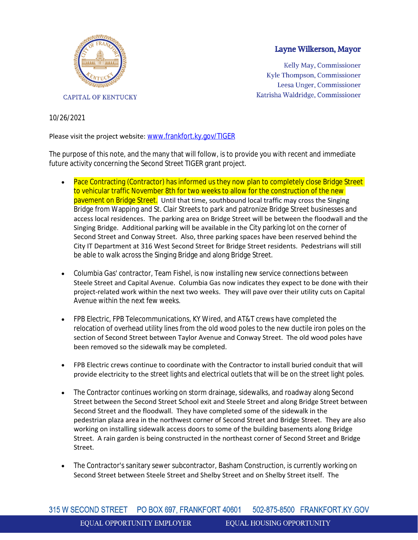

## Layne Wilkerson, Mayor

Kelly May, Commissioner Kyle Thompson, Commissioner Leesa Unger, Commissioner Katrisha Waldridge, Commissioner

## 10/26/2021

## Please visit the project website: [www.frankfort.ky.gov/TIGER](https://us-east-2.protection.sophos.com/?d=ky.gov&u=aHR0cDovL3d3dy5mcmFua2ZvcnQua3kuZ292L1RJR0VS&i=NWY4NWUzODAzMGRjMDYwZTBhN2I0MjIy&t=bmt6R2Q3QlVyNUp1eVR6SGVwbUJnQkJMRUE5YXhWR2FlZWlrRlFHd1FJWT0=&h=5107ff473dfb46de9c99edda9afdc01d)

The purpose of this note, and the many that will follow, is to provide you with recent and immediate future activity concerning the Second Street TIGER grant project.

- Pace Contracting (Contractor) has informed us they now plan to completely close Bridge Street to vehicular traffic November 8th for two weeks to allow for the construction of the new pavement on Bridge Street. Until that time, southbound local traffic may cross the Singing Bridge from Wapping and St. Clair Streets to park and patronize Bridge Street businesses and access local residences. The parking area on Bridge Street will be between the floodwall and the Singing Bridge. Additional parking will be available in the City parking lot on the corner of Second Street and Conway Street. Also, three parking spaces have been reserved behind the City IT Department at 316 West Second Street for Bridge Street residents. Pedestrians will still be able to walk across the Singing Bridge and along Bridge Street.
- Columbia Gas' contractor, Team Fishel, is now installing new service connections between Steele Street and Capital Avenue. Columbia Gas now indicates they expect to be done with their project-related work within the next two weeks. They will pave over their utility cuts on Capital Avenue within the next few weeks.
- FPB Electric, FPB Telecommunications, KY Wired, and AT&T crews have completed the relocation of overhead utility lines from the old wood poles to the new ductile iron poles on the section of Second Street between Taylor Avenue and Conway Street. The old wood poles have been removed so the sidewalk may be completed.
- FPB Electric crews continue to coordinate with the Contractor to install buried conduit that will provide electricity to the street lights and electrical outlets that will be on the street light poles.
- The Contractor continues working on storm drainage, sidewalks, and roadway along Second Street between the Second Street School exit and Steele Street and along Bridge Street between Second Street and the floodwall. They have completed some of the sidewalk in the pedestrian plaza area in the northwest corner of Second Street and Bridge Street. They are also working on installing sidewalk access doors to some of the building basements along Bridge Street. A rain garden is being constructed in the northeast corner of Second Street and Bridge Street.
- The Contractor's sanitary sewer subcontractor, Basham Construction, is currently working on Second Street between Steele Street and Shelby Street and on Shelby Street itself. The